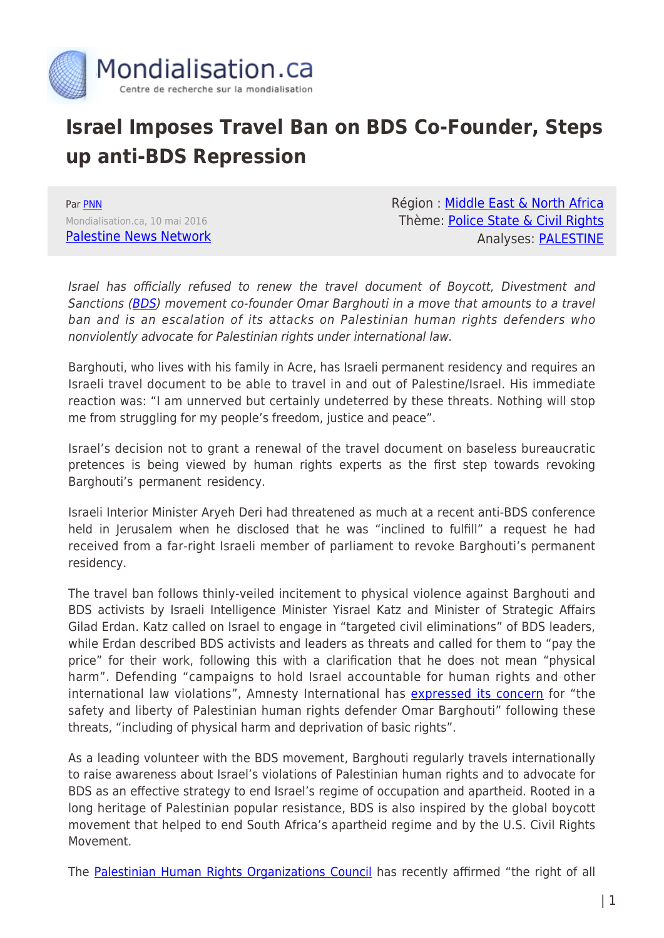

## **Israel Imposes Travel Ban on BDS Co-Founder, Steps up anti-BDS Repression**

Par [PNN](https://www.mondialisation.ca/author/pnn) Mondialisation.ca, 10 mai 2016 [Palestine News Network](http://english.pnn.ps/2016/05/10/israel-imposes-travel-ban-on-bds-co-founder-steps-up-anti-bds-repression/?utm_content=buffer15230&utm_medium=social&utm_source=facebook.com&utm_campaign=buffer) Région : [Middle East & North Africa](https://www.mondialisation.ca/region/middle-east) Thème: [Police State & Civil Rights](https://www.mondialisation.ca/theme/police-state-civil-rights) Analyses: [PALESTINE](https://www.mondialisation.ca/indepthreport/palestine)

Israel has officially refused to renew the travel document of Boycott, Divestment and Sanctions ([BDS](http://emails.bdsnationalcommittee.org/l/8R7On8yPo3lXU4VuICy99w/feeTUdYGQ892fQUS0tgETtXg/hWPE4EkyEfQRDr3UoVsaog)) movement co-founder Omar Barghouti in a move that amounts to a travel ban and is an escalation of its attacks on Palestinian human rights defenders who nonviolently advocate for Palestinian rights under international law.

Barghouti, who lives with his family in Acre, has Israeli permanent residency and requires an Israeli travel document to be able to travel in and out of Palestine/Israel. His immediate reaction was: "I am unnerved but certainly undeterred by these threats. Nothing will stop me from struggling for my people's freedom, justice and peace".

Israel's decision not to grant a renewal of the travel document on baseless bureaucratic pretences is being viewed by human rights experts as the first step towards revoking Barghouti's permanent residency.

Israeli Interior Minister Aryeh Deri had threatened as much at a recent anti-BDS conference held in Jerusalem when he disclosed that he was "inclined to fulfill" a request he had received from a far-right Israeli member of parliament to revoke Barghouti's permanent residency.

The travel ban follows thinly-veiled incitement to physical violence against Barghouti and BDS activists by Israeli Intelligence Minister Yisrael Katz and Minister of Strategic Affairs Gilad Erdan. Katz called on Israel to engage in "targeted civil eliminations" of BDS leaders, while Erdan described BDS activists and leaders as threats and called for them to "pay the price" for their work, following this with a clarification that he does not mean "physical harm". Defending "campaigns to hold Israel accountable for human rights and other international law violations", Amnesty International has [expressed its concern](http://emails.bdsnationalcommittee.org/l/8R7On8yPo3lXU4VuICy99w/NgaEjjFC0EdRovKGe6nBpQ/hWPE4EkyEfQRDr3UoVsaog) for "the safety and liberty of Palestinian human rights defender Omar Barghouti" following these threats, "including of physical harm and deprivation of basic rights".

As a leading volunteer with the BDS movement, Barghouti regularly travels internationally to raise awareness about Israel's violations of Palestinian human rights and to advocate for BDS as an effective strategy to end Israel's regime of occupation and apartheid. Rooted in a long heritage of Palestinian popular resistance, BDS is also inspired by the global boycott movement that helped to end South Africa's apartheid regime and by the U.S. Civil Rights Movement.

The [Palestinian Human Rights Organizations Council](http://emails.bdsnationalcommittee.org/l/8R7On8yPo3lXU4VuICy99w/ozlN4dQbjdbFH9o0cdKEDw/hWPE4EkyEfQRDr3UoVsaog) has recently affirmed "the right of all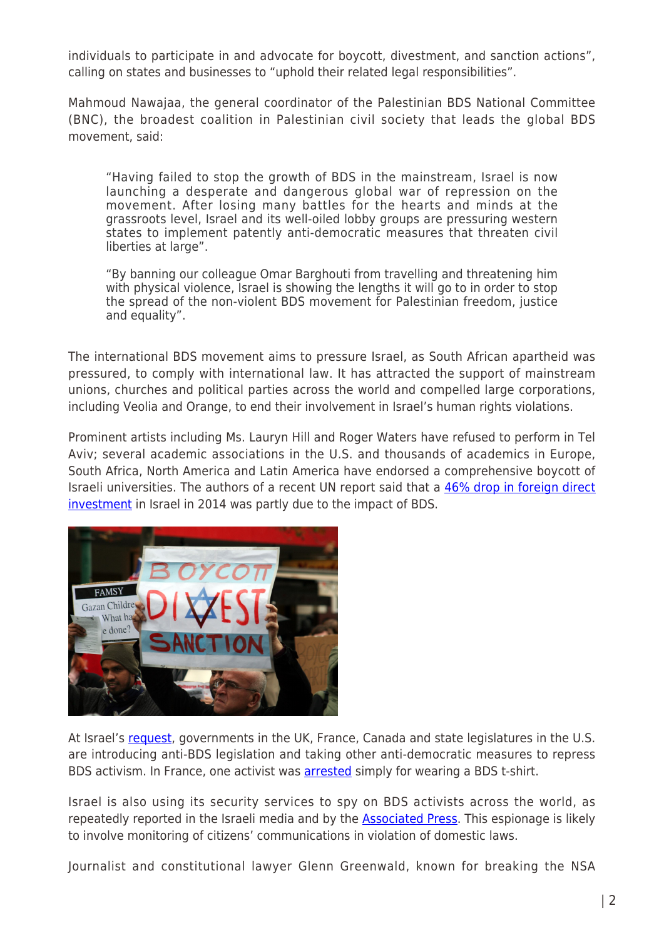individuals to participate in and advocate for boycott, divestment, and sanction actions", calling on states and businesses to "uphold their related legal responsibilities".

Mahmoud Nawajaa, the general coordinator of the Palestinian BDS National Committee (BNC), the broadest coalition in Palestinian civil society that leads the global BDS movement, said:

"Having failed to stop the growth of BDS in the mainstream, Israel is now launching a desperate and dangerous global war of repression on the movement. After losing many battles for the hearts and minds at the grassroots level, Israel and its well-oiled lobby groups are pressuring western states to implement patently anti-democratic measures that threaten civil liberties at large".

"By banning our colleague Omar Barghouti from travelling and threatening him with physical violence, Israel is showing the lengths it will go to in order to stop the spread of the non-violent BDS movement for Palestinian freedom, justice and equality".

The international BDS movement aims to pressure Israel, as South African apartheid was pressured, to comply with international law. It has attracted the support of mainstream unions, churches and political parties across the world and compelled large corporations, including Veolia and Orange, to end their involvement in Israel's human rights violations.

Prominent artists including Ms. Lauryn Hill and Roger Waters have refused to perform in Tel Aviv; several academic associations in the U.S. and thousands of academics in Europe, South Africa, North America and Latin America have endorsed a comprehensive boycott of Israeli universities. The authors of a recent UN report said that a [46% drop in foreign direct](http://emails.bdsnationalcommittee.org/l/8R7On8yPo3lXU4VuICy99w/ofgI3763QtrHd2r4SVu2sz2A/hWPE4EkyEfQRDr3UoVsaog) [investment](http://emails.bdsnationalcommittee.org/l/8R7On8yPo3lXU4VuICy99w/ofgI3763QtrHd2r4SVu2sz2A/hWPE4EkyEfQRDr3UoVsaog) in Israel in 2014 was partly due to the impact of BDS.



At Israel's [request](http://emails.bdsnationalcommittee.org/l/8R7On8yPo3lXU4VuICy99w/B763VXP0PnpAnRQiIMTenqSA/hWPE4EkyEfQRDr3UoVsaog), governments in the UK, France, Canada and state legislatures in the U.S. are introducing anti-BDS legislation and taking other anti-democratic measures to repress BDS activism. In France, one activist was [arrested](http://emails.bdsnationalcommittee.org/l/8R7On8yPo3lXU4VuICy99w/SDpxMy2gv8zQYG0leveu7w/hWPE4EkyEfQRDr3UoVsaog) simply for wearing a BDS t-shirt.

Israel is also using its security services to spy on BDS activists across the world, as repeatedly reported in the Israeli media and by the [Associated Press](http://emails.bdsnationalcommittee.org/l/8R7On8yPo3lXU4VuICy99w/J8Jn7637637636qrgeoWcAqFGAxA/hWPE4EkyEfQRDr3UoVsaog). This espionage is likely to involve monitoring of citizens' communications in violation of domestic laws.

Journalist and constitutional lawyer Glenn Greenwald, known for breaking the NSA